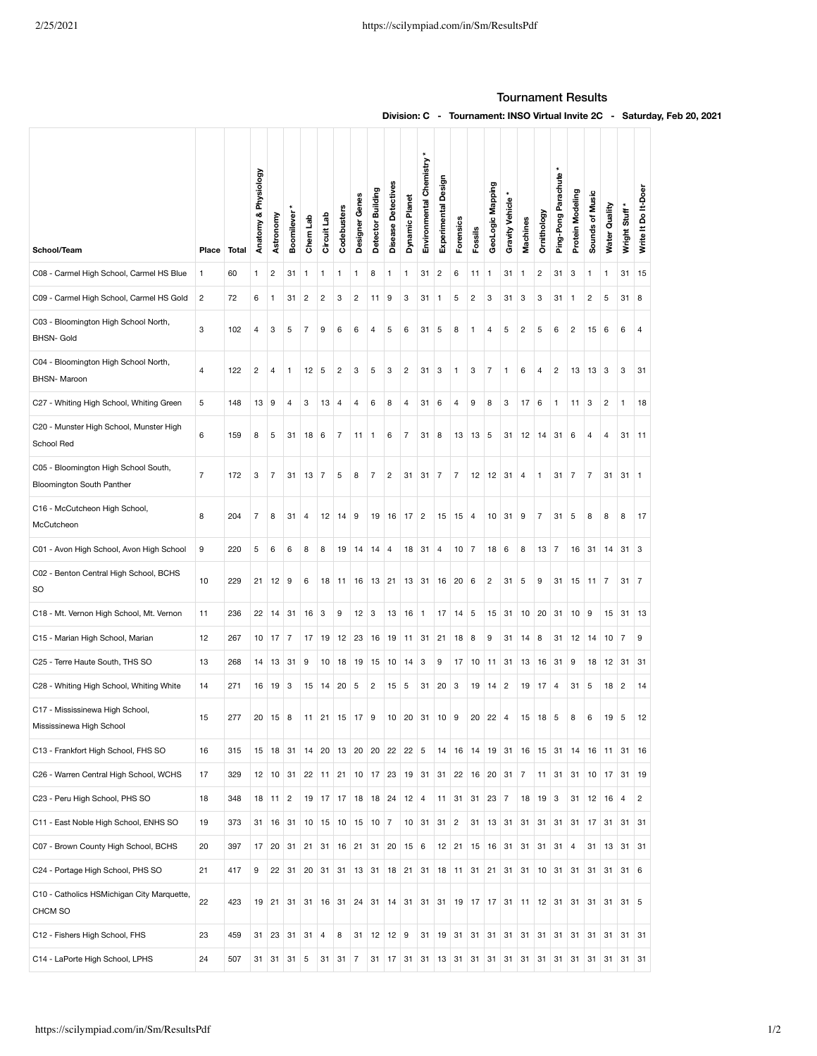## Tournament Results

**Division: C - Tournament: INSO Virtual Invite 2C - Saturday, Feb 20, 2021**

| School/Team                                                       | Place          | Total | Anatomy & Physiology | Astronomy               | Boomilever     | Chem Lab       | Circuit Lab    | Codebusters    | Designer Gene  | Detector Building | Disease Detectives | Dynamic Planet | Environmental Chemistry | Experimental Design     | Forensics      | Fossils        | GeoLogic Mapping | <b>Gravity Vehicle</b> | Machines       | Ornithology    | Ping-Pong Parachute | Protein Modeling | Sounds of Music | Water Quality   | Wright Stuff   | Do It-Doer<br>±<br>Write |
|-------------------------------------------------------------------|----------------|-------|----------------------|-------------------------|----------------|----------------|----------------|----------------|----------------|-------------------|--------------------|----------------|-------------------------|-------------------------|----------------|----------------|------------------|------------------------|----------------|----------------|---------------------|------------------|-----------------|-----------------|----------------|--------------------------|
| C08 - Carmel High School, Carmel HS Blue                          | 1              | 60    | 1                    | $\overline{\mathbf{c}}$ | 31             | 1              | 1              | 1              | 1              | 8                 | 1                  | 1              | 31                      | $\overline{\mathbf{c}}$ | 6              | 11             | 1                | 31                     | $\mathbf{1}$   | $\overline{c}$ | 31                  | 3                | 1               | 1               | 31             | 15                       |
| C09 - Carmel High School, Carmel HS Gold                          | $\overline{c}$ | 72    | 6                    | 1                       | 31             | $\overline{2}$ | $\overline{c}$ | 3              | $\overline{c}$ | 11                | 9                  | 3              | 31                      | 1                       | 5              | $\overline{c}$ | 3                | 31                     | 3              | 3              | 31                  | $\mathbf{1}$     | $\overline{c}$  | 5               | 31             | 8                        |
| C03 - Bloomington High School North,<br><b>BHSN- Gold</b>         | 3              | 102   | 4                    | 3                       | 5              | 7              | 9              | 6              | 6              | 4                 | 5                  | 6              | 31                      | 5                       | 8              | 1              | 4                | 5                      | $\overline{c}$ | 5              | 6                   | $\overline{c}$   | 15              | 6               | 6              | 4                        |
| C04 - Bloomington High School North,<br>BHSN-Maroon               | 4              | 122   | 2                    | 4                       | 1              | 12             | 5              | 2              | 3              | 5                 | 3                  | 2              | 31                      | 3                       | 1              | 3              | 7                | 1                      | 6              | 4              | 2                   | 13               | 13              | 3               | 3              | 31                       |
| C27 - Whiting High School, Whiting Green                          | 5              | 148   | 13                   | 9                       | 4              | 3              | 13             | $\overline{4}$ | 4              | 6                 | 8                  | 4              | 31                      | 6                       | 4              | 9              | 8                | 3                      | 17             | 6              | 1                   | 11               | 3               | 2               | 1              | 18                       |
| C20 - Munster High School, Munster High<br>School Red             | 6              | 159   | 8                    | 5                       | 31             | 18             | 6              | 7              | 11             | $\mathbf{1}$      | 6                  | 7              | 31                      | 8                       | 13             | 13             | 5                | 31                     | 12             | 14             | 31                  | 6                | 4               | 4               | 31             | 11                       |
| C05 - Bloomington High School South,<br>Bloomington South Panther | 7              | 172   | 3                    | 7                       | 31             | 13             | $\overline{7}$ | 5              | 8              | 7                 | $\sqrt{2}$         | 31             | 31                      | 7                       | 7              | 12             | 12               | 31                     | 4              | 1              | 31                  | 7                | 7               | 31              | 31             | -1                       |
| C16 - McCutcheon High School,<br>McCutcheon                       | 8              | 204   | 7                    | 8                       | 31             | 4              | 12             | 14             | 9              | 19                | 16                 | 17             | $\overline{2}$          | 15                      | 15             | $\overline{4}$ | 10               | 31                     | 9              | 7              | 31                  | 5                | 8               | 8               | 8              | 17                       |
| C01 - Avon High School, Avon High School                          | 9              | 220   | 5                    | 6                       | 6              | 8              | 8              | 19             | 14             | 14                | $\overline{4}$     | 18             | 31                      | $\overline{4}$          | $10$ 7         |                | 18               | 6                      | 8              | 13             | 7                   | 16               | 31              | 14              | 31             | 3                        |
| C02 - Benton Central High School, BCHS<br>SO                      | 10             | 229   | 21                   | 12                      | 9              | 6              | 18             | 11             | 16             | 13                | 21                 | 13             | 31                      | 16                      | 20             | 6              | 2                | 31                     | 5              | 9              | 31                  | 15               | $11 \mid 7$     |                 | 31             | 7                        |
| C18 - Mt. Vernon High School, Mt. Vernon                          | 11             | 236   | 22                   | 14                      | 31             | 16             | 3              | 9              | 12             | 3                 | 13                 | 16             | $\vert$ 1               | 17                      | 14             | 5              | 15               | 31                     | 10             | 20             | 31                  | $10-10$          | 9               | 15              | 31             | 13                       |
| C15 - Marian High School, Marian                                  | 12             | 267   | 10                   | 17                      | 7              | 17             | 19             | 12             | 23             | 16                | 19                 | 11             | 31                      | 21                      | 18             | 8              | 9                | 31                     | 14             | 8              | 31                  | 12               | 14              | 10              | 7              | 9                        |
| C25 - Terre Haute South, THS SO                                   | 13             | 268   | 14                   | 13                      | 31             | 9              | 10             | 18             | 19             | 15                | 10                 | 14             | 3                       | 9                       | 17             | 10             | 11               | 31                     | 13             | 16             | 31                  | 9                | 18              | 12              | -31            | 31                       |
| C28 - Whiting High School, Whiting White                          | 14             | 271   | 16                   | 19                      | 3              | 15             | 14             | 20             | 5              | $\overline{c}$    | 15                 | 5              | 31                      | 20                      | 3              | 19             | 14               | $\overline{c}$         | 19             | 17             | 4                   | 31               | 5               | 18              | $\overline{2}$ | 14                       |
| C17 - Mississinewa High School,<br>Mississinewa High School       | 15             | 277   | 20                   | 15                      | 8              | 11             | 21             | 15             | 17             | 9                 | 10                 | 20             | 31                      | 10                      | 9              | 20             | 22               | 4                      | 15             | 18             | 5                   | 8                | 6               | 19              | 5              | 12                       |
| C13 - Frankfort High School, FHS SO                               | 16             | 315   | 15                   | 18                      | 31             | 14             | 20             | 13             | 20             | 20                | 22                 | 22             | 5                       | 14                      | 16             | 14             | 19               | 31                     | 16             | 15             | 31                  | 14               | 16              | 11              | 31             | 16                       |
| C26 - Warren Central High School, WCHS                            | 17             | 329   | 12                   | 10                      | 31             | 22             | 11             | 21             | 10             | 17                | 23                 | 19             | 31                      | 31                      | 22             | 16             | 20               | 31                     | 7              | 11             | 31                  | 31               | 10              | 17 <sup>1</sup> | 31             | 19                       |
| C23 - Peru High School, PHS SO                                    | 18             | 348   | 18                   | 11                      | $\overline{c}$ | 19             | 17             | 17             | 18             | 18                | 24                 | $12 \mid 4$    |                         | 11                      | 31             | 31             | 23               | 7                      | 18             | 19             | 3                   | 31               | 12              | 16              | $\overline{4}$ | 2                        |
| C11 - East Noble High School, ENHS SO                             | 19             | 373   | 31                   | 16                      | 31             | 10             | 15             | 10             | 15             | 10                | $\overline{7}$     | 10             | 31                      | 31                      | $\overline{c}$ | 31             | 13               | 31                     | 31             | 31             | 31                  | 31               | 17              | 31              | 31             | 31                       |
| C07 - Brown County High School, BCHS                              | 20             | 397   | 17                   | 20                      | 31             | 21             | 31             | 16             | 21             | 31                | 20                 | 15             | 6                       | 12                      | 21             | 15             | 16               | 31                     | 31             | 31             | 31                  | $\overline{4}$   | 31              | 13              | 31             | 31                       |
| C24 - Portage High School, PHS SO                                 | 21             | 417   | 9                    | 22                      | 31             | 20             | 31             | 31             | 13             | 31                | 18                 | 21             | 31                      | 18                      | 11             | 31             | 21               | 31                     | 31             | 10             | 31                  | 31               | 31              | 31              | 31             | 6                        |
| C10 - Catholics HSMichigan City Marquette,<br>CHCM SO             | 22             | 423   | 19                   | 21                      | 31             | 31             | 16             | 31             | 24             | 31                | 14                 | 31             | 31                      | 31                      | 19             | $17 \quad 17$  |                  | 31                     | 11             | 12             | 31                  | 31               | 31              | 31              | 31             | 5                        |
| C12 - Fishers High School, FHS                                    | 23             | 459   | 31                   | 23                      | 31             | 31             | 4              | 8              | 31             | 12                | 12                 | 9              | 31                      | 19                      | 31             | 31             | 31               | 31                     | 31             | 31             | 31                  | 31               |                 | $31 \mid 31$    | 31             | 31                       |
| C14 - LaPorte High School, LPHS                                   | 24             | 507   | 31                   | 31                      | 31             | 5              | 31             | 31             | 7              | 31                | 17                 | 31             | 31                      | 13                      | 31             | 31             | 31               | 31                     | 31             | 31             | 31                  | 31               | 31              | 31              | 31             | 31                       |